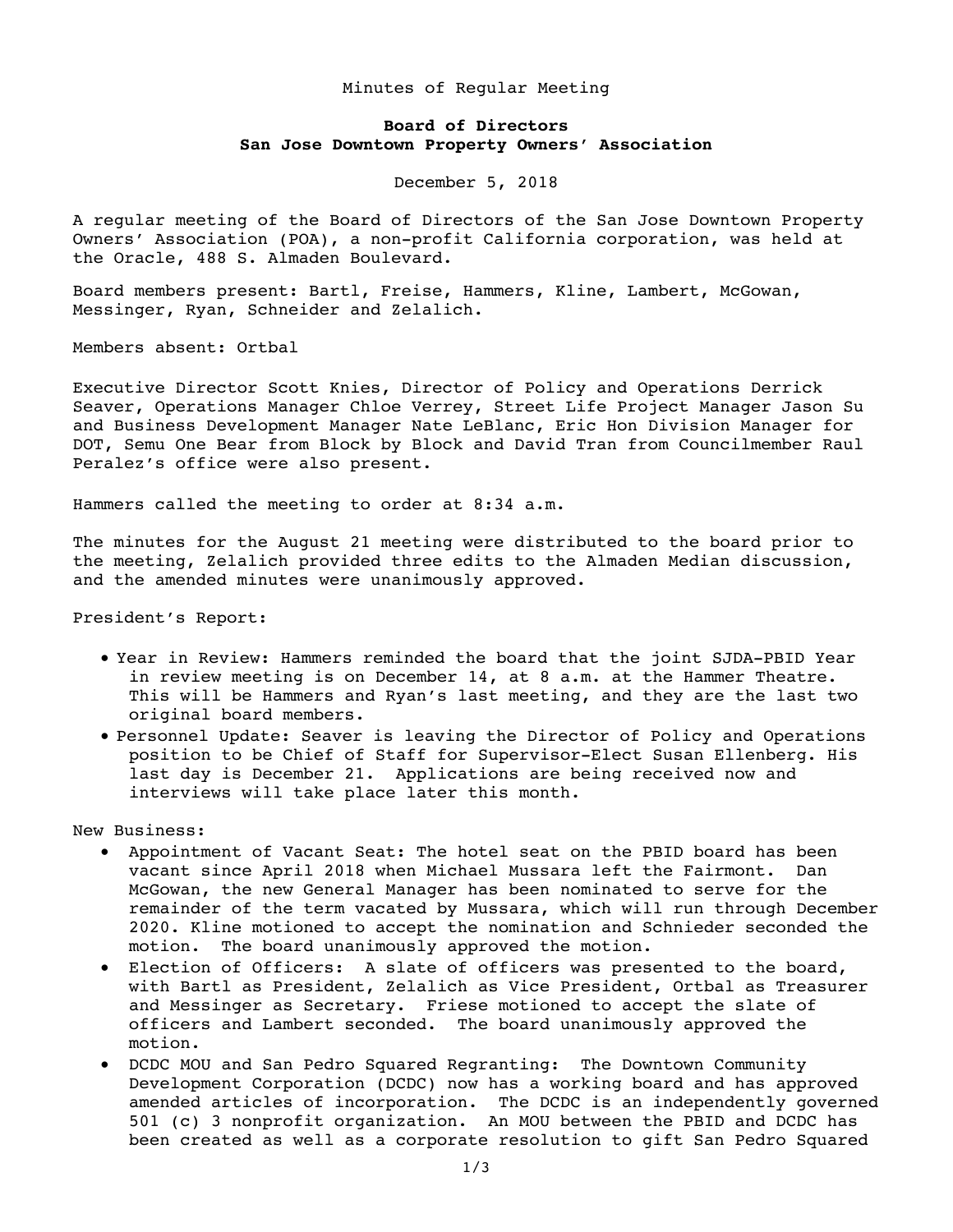Minutes of Regular Meeting

## **Board of Directors San Jose Downtown Property Owners' Association**

December 5, 2018

A regular meeting of the Board of Directors of the San Jose Downtown Property Owners' Association (POA), a non-profit California corporation, was held at the Oracle, 488 S. Almaden Boulevard.

Board members present: Bartl, Freise, Hammers, Kline, Lambert, McGowan, Messinger, Ryan, Schneider and Zelalich.

Members absent: Ortbal

Executive Director Scott Knies, Director of Policy and Operations Derrick Seaver, Operations Manager Chloe Verrey, Street Life Project Manager Jason Su and Business Development Manager Nate LeBlanc, Eric Hon Division Manager for DOT, Semu One Bear from Block by Block and David Tran from Councilmember Raul Peralez's office were also present.

Hammers called the meeting to order at 8:34 a.m.

The minutes for the August 21 meeting were distributed to the board prior to the meeting, Zelalich provided three edits to the Almaden Median discussion, and the amended minutes were unanimously approved.

President's Report:

- Year in Review: Hammers reminded the board that the joint SJDA-PBID Year in review meeting is on December 14, at 8 a.m. at the Hammer Theatre. This will be Hammers and Ryan's last meeting, and they are the last two original board members.
- Personnel Update: Seaver is leaving the Director of Policy and Operations position to be Chief of Staff for Supervisor-Elect Susan Ellenberg. His last day is December 21. Applications are being received now and interviews will take place later this month.

New Business:

- Appointment of Vacant Seat: The hotel seat on the PBID board has been vacant since April 2018 when Michael Mussara left the Fairmont. Dan McGowan, the new General Manager has been nominated to serve for the remainder of the term vacated by Mussara, which will run through December 2020. Kline motioned to accept the nomination and Schnieder seconded the motion. The board unanimously approved the motion.
- Election of Officers: A slate of officers was presented to the board, with Bartl as President, Zelalich as Vice President, Ortbal as Treasurer and Messinger as Secretary. Friese motioned to accept the slate of officers and Lambert seconded. The board unanimously approved the motion.
- DCDC MOU and San Pedro Squared Regranting: The Downtown Community Development Corporation (DCDC) now has a working board and has approved amended articles of incorporation. The DCDC is an independently governed 501 (c) 3 nonprofit organization. An MOU between the PBID and DCDC has been created as well as a corporate resolution to gift San Pedro Squared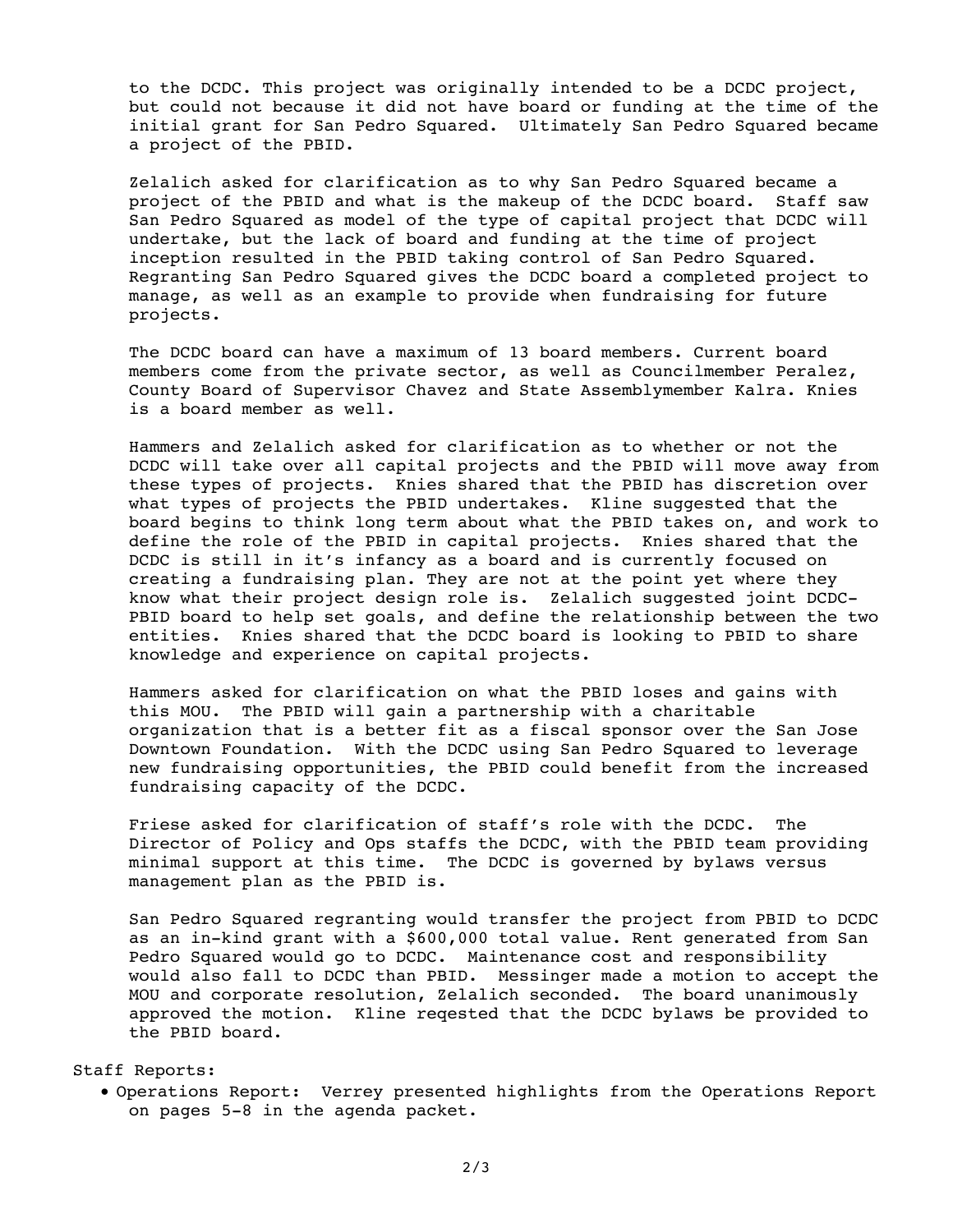to the DCDC. This project was originally intended to be a DCDC project, but could not because it did not have board or funding at the time of the initial grant for San Pedro Squared. Ultimately San Pedro Squared became a project of the PBID.

Zelalich asked for clarification as to why San Pedro Squared became a project of the PBID and what is the makeup of the DCDC board. Staff saw San Pedro Squared as model of the type of capital project that DCDC will undertake, but the lack of board and funding at the time of project inception resulted in the PBID taking control of San Pedro Squared. Regranting San Pedro Squared gives the DCDC board a completed project to manage, as well as an example to provide when fundraising for future projects.

The DCDC board can have a maximum of 13 board members. Current board members come from the private sector, as well as Councilmember Peralez, County Board of Supervisor Chavez and State Assemblymember Kalra. Knies is a board member as well.

Hammers and Zelalich asked for clarification as to whether or not the DCDC will take over all capital projects and the PBID will move away from these types of projects. Knies shared that the PBID has discretion over what types of projects the PBID undertakes. Kline suggested that the board begins to think long term about what the PBID takes on, and work to define the role of the PBID in capital projects. Knies shared that the DCDC is still in it's infancy as a board and is currently focused on creating a fundraising plan. They are not at the point yet where they know what their project design role is. Zelalich suggested joint DCDC-PBID board to help set goals, and define the relationship between the two entities. Knies shared that the DCDC board is looking to PBID to share knowledge and experience on capital projects.

Hammers asked for clarification on what the PBID loses and gains with this MOU. The PBID will gain a partnership with a charitable organization that is a better fit as a fiscal sponsor over the San Jose Downtown Foundation. With the DCDC using San Pedro Squared to leverage new fundraising opportunities, the PBID could benefit from the increased fundraising capacity of the DCDC.

Friese asked for clarification of staff's role with the DCDC. The Director of Policy and Ops staffs the DCDC, with the PBID team providing minimal support at this time. The DCDC is governed by bylaws versus management plan as the PBID is.

San Pedro Squared regranting would transfer the project from PBID to DCDC as an in-kind grant with a \$600,000 total value. Rent generated from San Pedro Squared would go to DCDC. Maintenance cost and responsibility would also fall to DCDC than PBID. Messinger made a motion to accept the MOU and corporate resolution, Zelalich seconded. The board unanimously approved the motion. Kline reqested that the DCDC bylaws be provided to the PBID board.

Staff Reports:

• Operations Report: Verrey presented highlights from the Operations Report on pages 5-8 in the agenda packet.